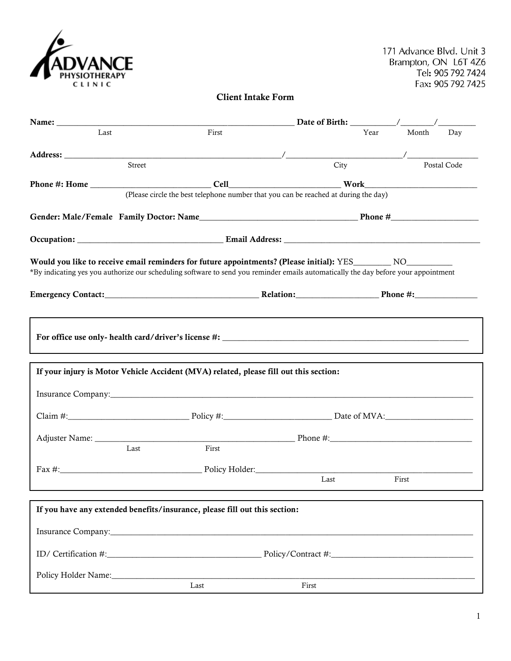| <b>ADVANCE</b><br>PHYSIOTHERAPY |
|---------------------------------|
|                                 |
| CLINIC                          |

# **Client Intake Form**

| Last                                                                                                                                                                                                                                                 |        | First |                                                                                       |      | Year Month Day |  |  |
|------------------------------------------------------------------------------------------------------------------------------------------------------------------------------------------------------------------------------------------------------|--------|-------|---------------------------------------------------------------------------------------|------|----------------|--|--|
|                                                                                                                                                                                                                                                      |        |       |                                                                                       |      |                |  |  |
|                                                                                                                                                                                                                                                      | Street |       |                                                                                       | City | Postal Code    |  |  |
|                                                                                                                                                                                                                                                      |        |       |                                                                                       |      |                |  |  |
|                                                                                                                                                                                                                                                      |        |       | (Please circle the best telephone number that you can be reached at during the day)   |      |                |  |  |
|                                                                                                                                                                                                                                                      |        |       |                                                                                       |      |                |  |  |
|                                                                                                                                                                                                                                                      |        |       |                                                                                       |      |                |  |  |
| Would you like to receive email reminders for future appointments? (Please initial): YES__________ NO_________<br>*By indicating yes you authorize our scheduling software to send you reminder emails automatically the day before your appointment |        |       |                                                                                       |      |                |  |  |
|                                                                                                                                                                                                                                                      |        |       | If your injury is Motor Vehicle Accident (MVA) related, please fill out this section: |      |                |  |  |
|                                                                                                                                                                                                                                                      |        |       |                                                                                       |      |                |  |  |
|                                                                                                                                                                                                                                                      |        |       |                                                                                       |      |                |  |  |
|                                                                                                                                                                                                                                                      | Last   | First |                                                                                       |      |                |  |  |
|                                                                                                                                                                                                                                                      |        |       |                                                                                       |      |                |  |  |
|                                                                                                                                                                                                                                                      |        |       |                                                                                       | Last | First          |  |  |
| If you have any extended benefits/insurance, please fill out this section:                                                                                                                                                                           |        |       |                                                                                       |      |                |  |  |
|                                                                                                                                                                                                                                                      |        |       |                                                                                       |      |                |  |  |
|                                                                                                                                                                                                                                                      |        |       |                                                                                       |      |                |  |  |
|                                                                                                                                                                                                                                                      |        |       |                                                                                       |      |                |  |  |
| Policy Holder Name:                                                                                                                                                                                                                                  |        |       |                                                                                       |      |                |  |  |
|                                                                                                                                                                                                                                                      |        | Last  | First                                                                                 |      |                |  |  |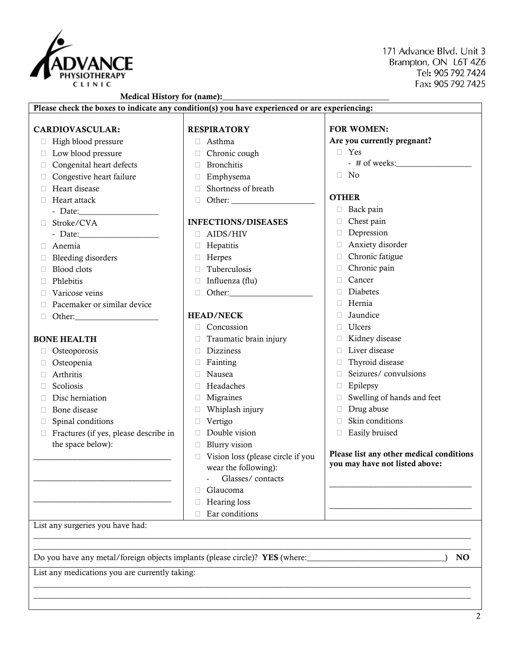

171 Advance Blvd, Unit 3 Brampton, ON 16T 476 Tel: 905 792 7424 Fax: 905 792 7425

#### **Medical History for (name):\_\_\_\_\_\_\_\_\_\_\_\_\_\_\_\_\_\_\_\_\_\_\_\_\_\_\_\_\_\_\_\_\_\_\_\_\_\_\_\_ Please check the boxes to indicate any condition(s) you have experienced or are experiencing: CARDIOVASCULAR:** High blood pressure  $\Box$  Low blood pressure  $\Box$  Congenital heart defects  $\Box$  Congestive heart failure Heart disease □ Heart attack - Date: Stroke/CVA - Date:\_\_\_\_\_\_\_\_\_\_\_\_\_\_\_\_\_\_\_ Anemia  $\Box$  Bleeding disorders □ Blood clots Phlebitis □ Varicose veins  $\Box$  Pacemaker or similar device  $\Box$  Other: **BONE HEALTH** □ Osteoporosis Osteopenia Arthritis □ Scoliosis Disc herniation Bone disease Spinal conditions  $\Box$  Fractures (if yes, please describe in the space below): \_\_\_\_\_\_\_\_\_\_\_\_\_\_\_\_\_\_\_\_\_\_\_\_\_\_\_\_\_\_ \_\_\_\_\_\_\_\_\_\_\_\_\_\_\_\_\_\_\_\_\_\_\_\_\_\_\_\_\_\_ \_\_\_\_\_\_\_\_\_\_\_\_\_\_\_\_\_\_\_\_\_\_\_\_\_\_\_\_\_\_ **RESPIRATORY** Asthma □ Chronic cough Bronchitis Emphysema □ Shortness of breath Other: \_\_\_\_\_\_\_\_\_\_\_\_\_\_\_\_\_\_\_\_ **INFECTIONS/DISEASES** AIDS/HIV **E** Hepatitis Herpes **Tuberculosis**  $\Box$  Influenza (flu)  $\Box$  Other: **HEAD/NECK** Concussion  $\Box$  Traumatic brain injury □ Dizziness  $\Box$  Fainting Nausea Headaches Migraines Whiplash injury Vertigo Double vision **Blurry vision**  Vision loss (please circle if you wear the following): - Glasses/ contacts Glaucoma □ Hearing loss  $\Box$  Ear conditions **FOR WOMEN: Are you currently pregnant?** Yes -  $\#$  of weeks:  $\Box$  No **OTHER**  $\Box$  Back pain Chest pain Depression Anxiety disorder Chronic fatigue Chronic pain Cancer Diabetes  $\Box$  Hernia Jaundice Ulcers Kidney disease □ Liver disease □ Thyroid disease □ Seizures/ convulsions Epilepsy  $\Box$  Swelling of hands and feet Drug abuse  $\Box$  Skin conditions Easily bruised **Please list any other medical conditions you may have not listed above:** \_\_\_\_\_\_\_\_\_\_\_\_\_\_\_\_\_\_\_\_\_\_\_\_\_\_\_\_\_\_\_ \_\_\_\_\_\_\_\_\_\_\_\_\_\_\_\_\_\_\_\_\_\_\_\_\_\_\_\_\_\_\_ List any surgeries you have had:  $\_$  ,  $\_$  ,  $\_$  ,  $\_$  ,  $\_$  ,  $\_$  ,  $\_$  ,  $\_$  ,  $\_$  ,  $\_$  ,  $\_$  ,  $\_$  ,  $\_$  ,  $\_$  ,  $\_$  ,  $\_$  ,  $\_$  ,  $\_$  ,  $\_$  ,  $\_$  ,  $\_$  ,  $\_$  ,  $\_$  ,  $\_$  ,  $\_$  ,  $\_$  ,  $\_$  ,  $\_$  ,  $\_$  ,  $\_$  ,  $\_$  ,  $\_$  ,  $\_$  ,  $\_$  ,  $\_$  ,  $\_$  ,  $\_$  ,  $\_$  ,  $\_$  ,  $\_$  ,  $\_$  ,  $\_$  ,  $\_$  ,  $\_$  ,  $\_$  ,  $\_$  ,  $\_$  ,  $\_$  ,  $\_$  ,  $\_$  ,  $\_$  ,  $\_$  ,  $\_$  ,  $\_$  ,  $\_$  ,  $\_$  ,  $\_$  ,  $\_$  ,  $\_$  ,  $\_$  ,  $\_$  ,  $\_$  ,  $\_$  ,  $\_$  ,  $\_$  ,  $\_$  ,  $\_$  ,  $\_$  ,  $\_$  ,  $\_$  ,  $\_$  ,  $\_$  ,  $\_$  ,  $\_$  , Do you have any metal/foreign objects implants (please circle)? **YES** (where:\_\_\_\_\_\_\_\_\_\_\_\_\_\_\_\_\_\_\_\_\_\_\_\_\_\_\_\_\_\_\_\_\_) **NO**

 $\_$  ,  $\_$  ,  $\_$  ,  $\_$  ,  $\_$  ,  $\_$  ,  $\_$  ,  $\_$  ,  $\_$  ,  $\_$  ,  $\_$  ,  $\_$  ,  $\_$  ,  $\_$  ,  $\_$  ,  $\_$  ,  $\_$  ,  $\_$  ,  $\_$  ,  $\_$  ,  $\_$  ,  $\_$  ,  $\_$  ,  $\_$  ,  $\_$  ,  $\_$  ,  $\_$  ,  $\_$  ,  $\_$  ,  $\_$  ,  $\_$  ,  $\_$  ,  $\_$  ,  $\_$  ,  $\_$  ,  $\_$  ,  $\_$  ,  $\_$  ,  $\_$  ,  $\_$  ,  $\_$  ,  $\_$  ,  $\_$  ,  $\_$  ,  $\_$  ,  $\_$  ,  $\_$  ,  $\_$  ,  $\_$  ,  $\_$  ,  $\_$  ,  $\_$  ,  $\_$  ,  $\_$  ,  $\_$  ,  $\_$  ,  $\_$  ,  $\_$  ,  $\_$  ,  $\_$  ,  $\_$  ,  $\_$  ,  $\_$  ,  $\_$  ,  $\_$  ,  $\_$  ,  $\_$  ,  $\_$  ,  $\_$  ,  $\_$  ,  $\_$  ,  $\_$  ,  $\_$  ,  $\_$  ,

List any medications you are currently taking: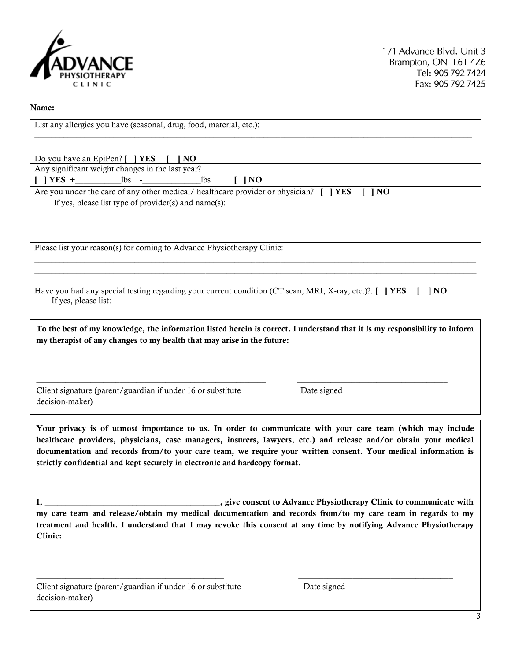

#### **Name:\_\_\_\_\_\_\_\_\_\_\_\_\_\_\_\_\_\_\_\_\_\_\_\_\_\_\_\_\_\_\_\_\_\_\_\_\_\_\_\_\_\_\_\_\_\_**

| List any allergies you have (seasonal, drug, food, material, etc.):                                                                  |  |  |  |  |  |
|--------------------------------------------------------------------------------------------------------------------------------------|--|--|--|--|--|
|                                                                                                                                      |  |  |  |  |  |
|                                                                                                                                      |  |  |  |  |  |
| Do you have an EpiPen? [ ] YES<br>] NO                                                                                               |  |  |  |  |  |
| Any significant weight changes in the last year?                                                                                     |  |  |  |  |  |
| 1bs<br>$\blacksquare$ $\blacksquare$                                                                                                 |  |  |  |  |  |
| Are you under the care of any other medical/healthcare provider or physician? [] YES<br>$\blacksquare$ $\blacksquare$ $\blacksquare$ |  |  |  |  |  |
| If yes, please list type of provider(s) and name(s):                                                                                 |  |  |  |  |  |
|                                                                                                                                      |  |  |  |  |  |
|                                                                                                                                      |  |  |  |  |  |
|                                                                                                                                      |  |  |  |  |  |
| Please list your reason(s) for coming to Advance Physiotherapy Clinic:                                                               |  |  |  |  |  |
|                                                                                                                                      |  |  |  |  |  |
|                                                                                                                                      |  |  |  |  |  |
|                                                                                                                                      |  |  |  |  |  |
| Have you had any special testing regarding your current condition (CT scan, MRI, X-ray, etc.)?: $\Box$ <b>YES</b><br> NO             |  |  |  |  |  |
| If yes, please list:                                                                                                                 |  |  |  |  |  |
|                                                                                                                                      |  |  |  |  |  |
|                                                                                                                                      |  |  |  |  |  |
| To the best of my knowledge, the information listed herein is correct. I understand that it is my responsibility to inform           |  |  |  |  |  |
| my therapist of any changes to my health that may arise in the future:                                                               |  |  |  |  |  |
|                                                                                                                                      |  |  |  |  |  |
|                                                                                                                                      |  |  |  |  |  |
|                                                                                                                                      |  |  |  |  |  |
|                                                                                                                                      |  |  |  |  |  |
| Client signature (parent/guardian if under 16 or substitute<br>Date signed                                                           |  |  |  |  |  |
| decision-maker)                                                                                                                      |  |  |  |  |  |
|                                                                                                                                      |  |  |  |  |  |
|                                                                                                                                      |  |  |  |  |  |
| Your privacy is of utmost importance to us. In order to communicate with your care team (which may include                           |  |  |  |  |  |
| healthcare providers, physicians, case managers, insurers, lawyers, etc.) and release and/or obtain your medical                     |  |  |  |  |  |
| documentation and records from/to your care team, we require your written consent. Your medical information is                       |  |  |  |  |  |
| strictly confidential and kept securely in electronic and hardcopy format.                                                           |  |  |  |  |  |
|                                                                                                                                      |  |  |  |  |  |
|                                                                                                                                      |  |  |  |  |  |
|                                                                                                                                      |  |  |  |  |  |
| $\mathbf{I},$                                                                                                                        |  |  |  |  |  |
| my care team and release/obtain my medical documentation and records from/to my care team in regards to my                           |  |  |  |  |  |
| treatment and health. I understand that I may revoke this consent at any time by notifying Advance Physiotherapy                     |  |  |  |  |  |
| Clinic:                                                                                                                              |  |  |  |  |  |
|                                                                                                                                      |  |  |  |  |  |
|                                                                                                                                      |  |  |  |  |  |
|                                                                                                                                      |  |  |  |  |  |

**\_\_\_\_\_\_\_\_\_\_\_\_\_\_\_\_\_\_\_\_\_\_\_\_\_\_\_\_\_\_\_\_\_\_\_\_\_\_\_\_\_\_\_\_\_** \_\_\_\_\_\_\_\_\_\_\_\_\_\_\_\_\_\_\_\_\_\_\_\_\_\_\_\_\_\_\_\_\_\_\_\_\_

Client signature (parent/guardian if under 16 or substitute Date signed decision-maker)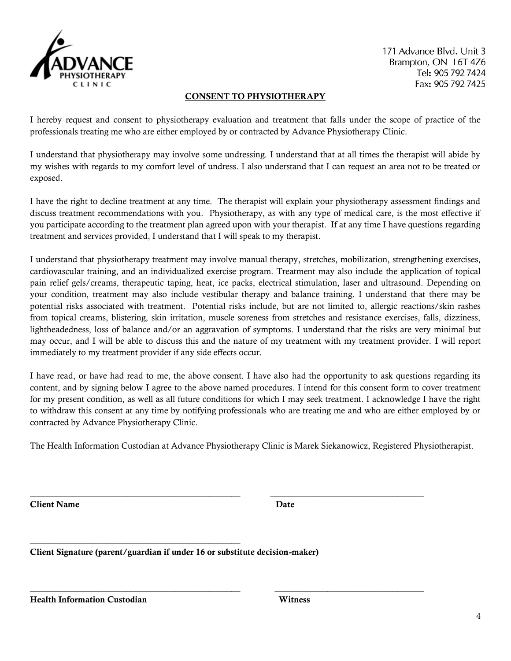

171 Advance Blvd. Unit 3 Brampton, ON 16T 4Z6 Tel: 905 792 7424 Fax: 905 792 7425

## **CONSENT TO PHYSIOTHERAPY**

I hereby request and consent to physiotherapy evaluation and treatment that falls under the scope of practice of the professionals treating me who are either employed by or contracted by Advance Physiotherapy Clinic.

I understand that physiotherapy may involve some undressing. I understand that at all times the therapist will abide by my wishes with regards to my comfort level of undress. I also understand that I can request an area not to be treated or exposed.

I have the right to decline treatment at any time. The therapist will explain your physiotherapy assessment findings and discuss treatment recommendations with you. Physiotherapy, as with any type of medical care, is the most effective if you participate according to the treatment plan agreed upon with your therapist. If at any time I have questions regarding treatment and services provided, I understand that I will speak to my therapist.

I understand that physiotherapy treatment may involve manual therapy, stretches, mobilization, strengthening exercises, cardiovascular training, and an individualized exercise program. Treatment may also include the application of topical pain relief gels/creams, therapeutic taping, heat, ice packs, electrical stimulation, laser and ultrasound. Depending on your condition, treatment may also include vestibular therapy and balance training. I understand that there may be potential risks associated with treatment. Potential risks include, but are not limited to, allergic reactions/skin rashes from topical creams, blistering, skin irritation, muscle soreness from stretches and resistance exercises, falls, dizziness, lightheadedness, loss of balance and/or an aggravation of symptoms. I understand that the risks are very minimal but may occur, and I will be able to discuss this and the nature of my treatment with my treatment provider. I will report immediately to my treatment provider if any side effects occur.

I have read, or have had read to me, the above consent. I have also had the opportunity to ask questions regarding its content, and by signing below I agree to the above named procedures. I intend for this consent form to cover treatment for my present condition, as well as all future conditions for which I may seek treatment. I acknowledge I have the right to withdraw this consent at any time by notifying professionals who are treating me and who are either employed by or contracted by Advance Physiotherapy Clinic.

The Health Information Custodian at Advance Physiotherapy Clinic is Marek Siekanowicz, Registered Physiotherapist.

**\_\_\_\_\_\_\_\_\_\_\_\_\_\_\_\_\_\_\_\_\_\_\_\_\_\_\_\_\_\_\_\_\_\_\_\_\_\_\_\_\_\_\_\_\_\_\_\_ \_\_\_\_\_\_\_\_\_\_\_\_\_\_\_\_\_\_\_\_\_\_\_\_\_\_\_\_\_\_\_\_\_\_\_**

**\_\_\_\_\_\_\_\_\_\_\_\_\_\_\_\_\_\_\_\_\_\_\_\_\_\_\_\_\_\_\_\_\_\_\_\_\_\_\_\_\_\_\_\_\_\_\_\_ \_\_\_\_\_\_\_\_\_\_\_\_\_\_\_\_\_\_\_\_\_\_\_\_\_\_\_\_\_\_\_\_\_\_**

**Client Name** Date **Date** 

**Client Signature (parent/guardian if under 16 or substitute decision-maker)**

**\_\_\_\_\_\_\_\_\_\_\_\_\_\_\_\_\_\_\_\_\_\_\_\_\_\_\_\_\_\_\_\_\_\_\_\_\_\_\_\_\_\_\_\_\_\_\_\_**

**Health Information Custodian Witness**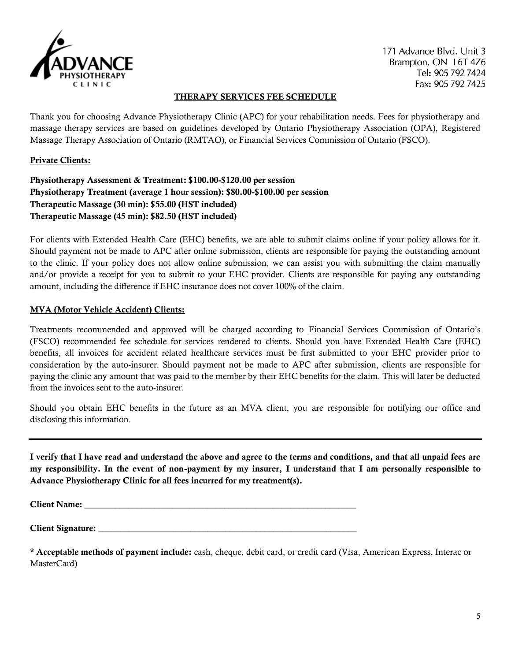

171 Advance Blvd. Unit 3 Brampton, ON 16T 476 Tel: 905 792 7424 Fax: 905 792 7425

#### **THERAPY SERVICES FEE SCHEDULE**

Thank you for choosing Advance Physiotherapy Clinic (APC) for your rehabilitation needs. Fees for physiotherapy and massage therapy services are based on guidelines developed by Ontario Physiotherapy Association (OPA), Registered Massage Therapy Association of Ontario (RMTAO), or Financial Services Commission of Ontario (FSCO).

#### **Private Clients:**

**Physiotherapy Assessment & Treatment: \$100.00-\$120.00 per session Physiotherapy Treatment (average 1 hour session): \$80.00-\$100.00 per session Therapeutic Massage (30 min): \$55.00 (HST included) Therapeutic Massage (45 min): \$82.50 (HST included)**

For clients with Extended Health Care (EHC) benefits, we are able to submit claims online if your policy allows for it. Should payment not be made to APC after online submission, clients are responsible for paying the outstanding amount to the clinic. If your policy does not allow online submission, we can assist you with submitting the claim manually and/or provide a receipt for you to submit to your EHC provider. Clients are responsible for paying any outstanding amount, including the difference if EHC insurance does not cover 100% of the claim.

#### **MVA (Motor Vehicle Accident) Clients:**

Treatments recommended and approved will be charged according to Financial Services Commission of Ontario's (FSCO) recommended fee schedule for services rendered to clients. Should you have Extended Health Care (EHC) benefits, all invoices for accident related healthcare services must be first submitted to your EHC provider prior to consideration by the auto-insurer. Should payment not be made to APC after submission, clients are responsible for paying the clinic any amount that was paid to the member by their EHC benefits for the claim. This will later be deducted from the invoices sent to the auto-insurer.

Should you obtain EHC benefits in the future as an MVA client, you are responsible for notifying our office and disclosing this information.

**I verify that I have read and understand the above and agree to the terms and conditions, and that all unpaid fees are my responsibility. In the event of non-payment by my insurer, I understand that I am personally responsible to Advance Physiotherapy Clinic for all fees incurred for my treatment(s).** 

**Client Name:**  $\blacksquare$ 

**Client Signature:** 

**\* Acceptable methods of payment include:** cash, cheque, debit card, or credit card (Visa, American Express, Interac or MasterCard)